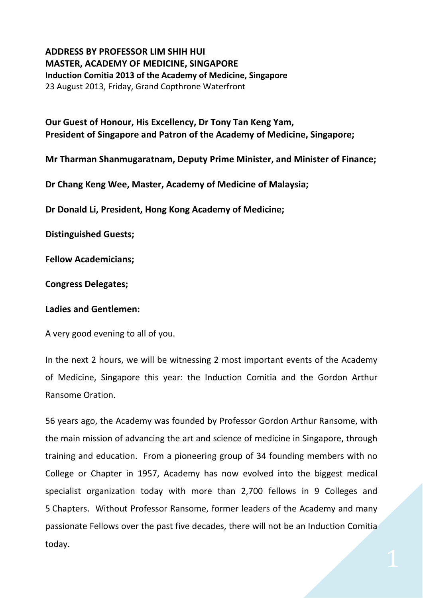## **ADDRESS BY PROFESSOR LIM SHIH HUI MASTER, ACADEMY OF MEDICINE, SINGAPORE Induction Comitia 2013 of the Academy of Medicine, Singapore** 23 August 2013, Friday, Grand Copthrone Waterfront

**Our Guest of Honour, His Excellency, Dr Tony Tan Keng Yam, President of Singapore and Patron of the Academy of Medicine, Singapore;** 

**Mr Tharman Shanmugaratnam, Deputy Prime Minister, and Minister of Finance;**

**Dr Chang Keng Wee, Master, Academy of Medicine of Malaysia;**

**Dr Donald Li, President, Hong Kong Academy of Medicine;**

**Distinguished Guests;**

**Fellow Academicians;**

**Congress Delegates;**

## **Ladies and Gentlemen:**

A very good evening to all of you.

In the next 2 hours, we will be witnessing 2 most important events of the Academy of Medicine, Singapore this year: the Induction Comitia and the Gordon Arthur Ransome Oration.

56 years ago, the Academy was founded by Professor Gordon Arthur Ransome, with the main mission of advancing the art and science of medicine in Singapore, through training and education. From a pioneering group of 34 founding members with no College or Chapter in 1957, Academy has now evolved into the biggest medical specialist organization today with more than 2,700 fellows in 9 Colleges and 5 Chapters. Without Professor Ransome, former leaders of the Academy and many passionate Fellows over the past five decades, there will not be an Induction Comitia today.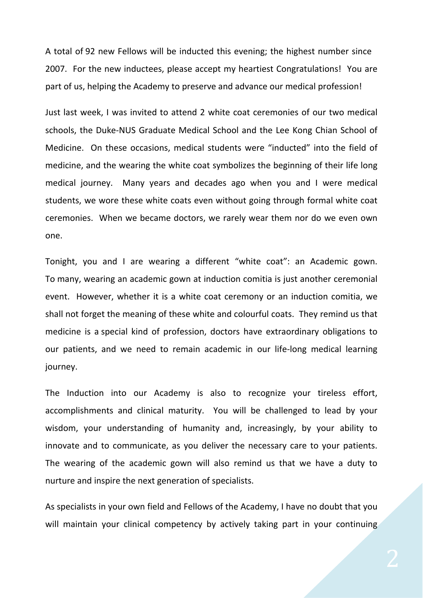A total of 92 new Fellows will be inducted this evening; the highest number since 2007. For the new inductees, please accept my heartiest Congratulations! You are part of us, helping the Academy to preserve and advance our medical profession!

Just last week, I was invited to attend 2 white coat ceremonies of our two medical schools, the Duke‐NUS Graduate Medical School and the Lee Kong Chian School of Medicine. On these occasions, medical students were "inducted" into the field of medicine, and the wearing the white coat symbolizes the beginning of their life long medical journey. Many years and decades ago when you and I were medical students, we wore these white coats even without going through formal white coat ceremonies. When we became doctors, we rarely wear them nor do we even own one.

Tonight, you and I are wearing a different "white coat": an Academic gown. To many, wearing an academic gown at induction comitia is just another ceremonial event. However, whether it is a white coat ceremony or an induction comitia, we shall not forget the meaning of these white and colourful coats. They remind us that medicine is a special kind of profession, doctors have extraordinary obligations to our patients, and we need to remain academic in our life‐long medical learning journey.

The Induction into our Academy is also to recognize your tireless effort, accomplishments and clinical maturity. You will be challenged to lead by your wisdom, your understanding of humanity and, increasingly, by your ability to innovate and to communicate, as you deliver the necessary care to your patients. The wearing of the academic gown will also remind us that we have a duty to nurture and inspire the next generation of specialists.

As specialists in your own field and Fellows of the Academy, I have no doubt that you will maintain your clinical competency by actively taking part in your continuing